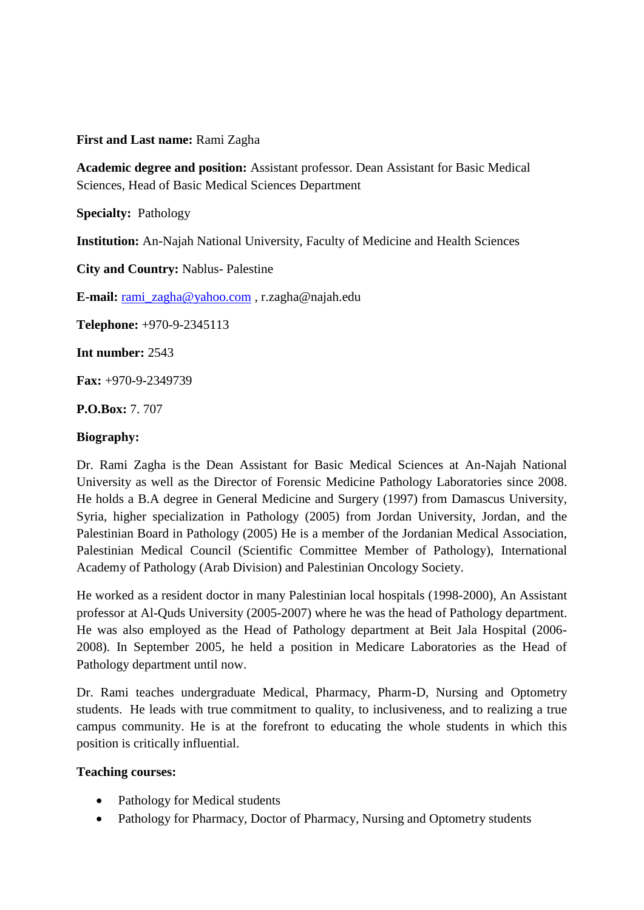# **First and Last name:** Rami Zagha

**Academic degree and position:** Assistant professor. Dean Assistant for Basic Medical Sciences, Head of Basic Medical Sciences Department

**Specialty:** Pathology

**Institution:** An-Najah National University, Faculty of Medicine and Health Sciences

**City and Country:** Nablus- Palestine

**E-mail:** [rami\\_zagha@yahoo.com](mailto:rami_zagha@yahoo.com) , r.zagha@najah.edu

**Telephone:** +970-9-2345113

**Int number:** 2543

**Fax:** +970-9-2349739

**P.O.Box:** 7. 707

### **Biography:**

Dr. Rami Zagha is the Dean Assistant for Basic Medical Sciences at An-Najah National University as well as the Director of Forensic Medicine Pathology Laboratories since 2008. He holds a B.A degree in General Medicine and Surgery (1997) from Damascus University, Syria, higher specialization in Pathology (2005) from Jordan University, Jordan, and the Palestinian Board in Pathology (2005) He is a member of the Jordanian Medical Association, Palestinian Medical Council (Scientific Committee Member of Pathology), International Academy of Pathology (Arab Division) and Palestinian Oncology Society.

He worked as a resident doctor in many Palestinian local hospitals (1998-2000), An Assistant professor at Al-Quds University (2005-2007) where he was the head of Pathology department. He was also employed as the Head of Pathology department at Beit Jala Hospital (2006- 2008). In September 2005, he held a position in Medicare Laboratories as the Head of Pathology department until now.

Dr. Rami teaches undergraduate Medical, Pharmacy, Pharm-D, Nursing and Optometry students. He leads with true commitment to quality, to inclusiveness, and to realizing a true campus community. He is at the forefront to educating the whole students in which this position is critically influential.

## **Teaching courses:**

- Pathology for Medical students
- Pathology for Pharmacy, Doctor of Pharmacy, Nursing and Optometry students